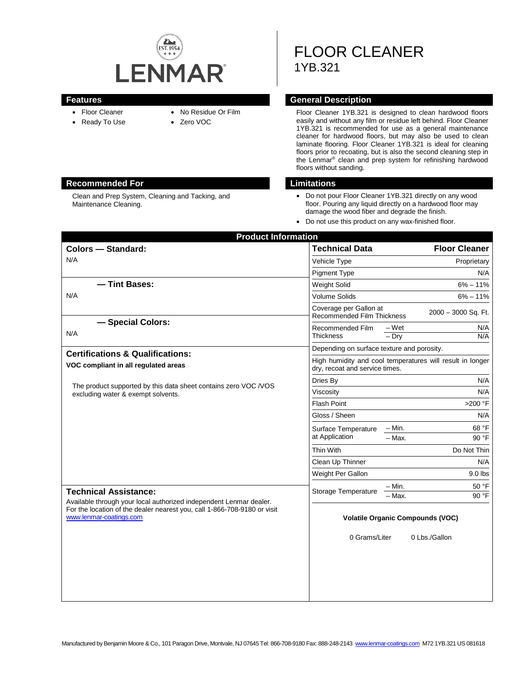

- Floor Cleaner
	-
- No Residue Or Film
- Ready To Use
- Zero VOC
- 
- 

# **Recommended For Limitations**

Clean and Prep System, Cleaning and Tacking, and Maintenance Cleaning.

FLOOR CLEANER 1YB.321

#### **Features Features General Description**

Floor Cleaner 1YB.321 is designed to clean hardwood floors easily and without any film or residue left behind. Floor Cleaner 1YB.321 is recommended for use as a general maintenance cleaner for hardwood floors, but may also be used to clean laminate flooring. Floor Cleaner 1YB.321 is ideal for cleaning floors prior to recoating, but is also the second cleaning step in the Lenmar® clean and prep system for refinishing hardwood floors without sanding.

- Do not pour Floor Cleaner 1YB.321 directly on any wood floor. Pouring any liquid directly on a hardwood floor may damage the wood fiber and degrade the finish.
- Do not use this product on any wax-finished floor.

| <b>Product Information</b>                                                                            |                                                                                             |                      |
|-------------------------------------------------------------------------------------------------------|---------------------------------------------------------------------------------------------|----------------------|
| <b>Colors - Standard:</b>                                                                             | <b>Technical Data</b>                                                                       | <b>Floor Cleaner</b> |
| N/A                                                                                                   | Vehicle Type                                                                                | Proprietary          |
|                                                                                                       | <b>Pigment Type</b>                                                                         | N/A                  |
| - Tint Bases:                                                                                         | <b>Weight Solid</b>                                                                         | $6\% - 11\%$         |
| N/A                                                                                                   | <b>Volume Solids</b>                                                                        | $6\% - 11\%$         |
|                                                                                                       | Coverage per Gallon at<br>Recommended Film Thickness                                        | 2000 - 3000 Sq. Ft.  |
| - Special Colors:<br>N/A                                                                              | – Wet<br>Recommended Film<br><b>Thickness</b><br>$-$ Dry                                    | N/A<br>N/A           |
| <b>Certifications &amp; Qualifications:</b>                                                           | Depending on surface texture and porosity.                                                  |                      |
| VOC compliant in all regulated areas                                                                  | High humidity and cool temperatures will result in longer<br>dry, recoat and service times. |                      |
| The product supported by this data sheet contains zero VOC /VOS<br>excluding water & exempt solvents. | Dries By                                                                                    | N/A                  |
|                                                                                                       | Viscosity                                                                                   | N/A                  |
|                                                                                                       | <b>Flash Point</b>                                                                          | >200 °F              |
|                                                                                                       | Gloss / Sheen                                                                               | N/A                  |
|                                                                                                       | – Min.<br>Surface Temperature                                                               | 68 °F                |
|                                                                                                       | at Application<br>$-$ Max.                                                                  | 90 °F                |
|                                                                                                       | Thin With                                                                                   | Do Not Thin          |
|                                                                                                       | Clean Up Thinner                                                                            | N/A                  |
|                                                                                                       | Weight Per Gallon                                                                           | $9.0$ lbs            |
| <b>Technical Assistance:</b>                                                                          | – Min.<br>Storage Temperature                                                               | 50 °F                |
| Available through your local authorized independent Lenmar dealer.                                    | - Max.                                                                                      | 90 °F                |
| For the location of the dealer nearest you, call 1-866-708-9180 or visit<br>www.lenmar-coatings.com   | <b>Volatile Organic Compounds (VOC)</b>                                                     |                      |
|                                                                                                       | 0 Grams/Liter                                                                               | 0 Lbs./Gallon        |
|                                                                                                       |                                                                                             |                      |
|                                                                                                       |                                                                                             |                      |